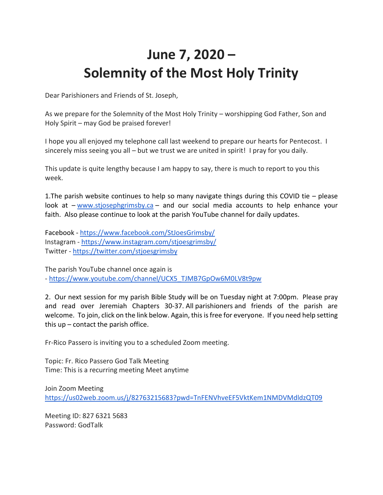## **June 7, 2020 – Solemnity of the Most Holy Trinity**

Dear Parishioners and Friends of St. Joseph,

As we prepare for the Solemnity of the Most Holy Trinity – worshipping God Father, Son and Holy Spirit – may God be praised forever!

I hope you all enjoyed my telephone call last weekend to prepare our hearts for Pentecost. I sincerely miss seeing you all – but we trust we are united in spirit! I pray for you daily.

This update is quite lengthy because I am happy to say, there is much to report to you this week.

1.The parish website continues to help so many navigate things during this COVID tie – please look at – [www.stjosephgrimsby.ca](http://www.stjosephgrimsby.ca/) – and our social media accounts to help enhance your faith. Also please continue to look at the parish YouTube channel for daily updates.

Facebook - <https://www.facebook.com/StJoesGrimsby/> Instagram - <https://www.instagram.com/stjoesgrimsby/> Twitter - <https://twitter.com/stjoesgrimsby>

The parish YouTube channel once again is - [https://www.youtube.com/channel/UCX5\\_TJMB7GpOw6M0LV8t9pw](https://www.youtube.com/channel/UCX5_TJMB7GpOw6M0LV8t9pw)

2. Our next session for my parish Bible Study will be on Tuesday night at 7:00pm. Please pray and read over Jeremiah Chapters 30-37. All parishioners and friends of the parish are welcome. To join, click on the link below. Again, this is free for everyone. If you need help setting this  $up$  – contact the parish office.

Fr-Rico Passero is inviting you to a scheduled Zoom meeting.

Topic: Fr. Rico Passero God Talk Meeting Time: This is a recurring meeting Meet anytime

Join Zoom Meeting <https://us02web.zoom.us/j/82763215683?pwd=TnFENVhveEF5VktKem1NMDVMdldzQT09>

Meeting ID: 827 6321 5683 Password: GodTalk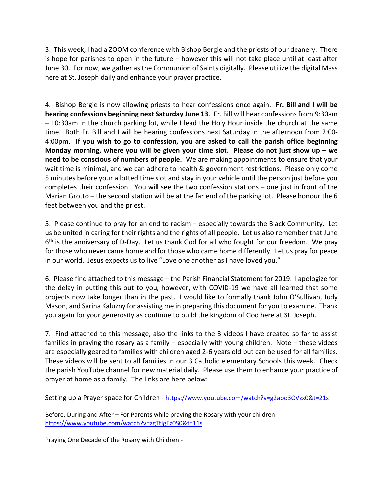3. This week, I had a ZOOM conference with Bishop Bergie and the priests of our deanery. There is hope for parishes to open in the future – however this will not take place until at least after June 30. For now, we gather as the Communion of Saints digitally. Please utilize the digital Mass here at St. Joseph daily and enhance your prayer practice.

4. Bishop Bergie is now allowing priests to hear confessions once again. **Fr. Bill and I will be hearing confessions beginning next Saturday June 13**. Fr. Bill will hear confessions from 9:30am – 10:30am in the church parking lot, while I lead the Holy Hour inside the church at the same time. Both Fr. Bill and I will be hearing confessions next Saturday in the afternoon from 2:00- 4:00pm. **If you wish to go to confession, you are asked to call the parish office beginning Monday morning, where you will be given your time slot. Please do not just show up – we need to be conscious of numbers of people.** We are making appointments to ensure that your wait time is minimal, and we can adhere to health & government restrictions. Please only come 5 minutes before your allotted time slot and stay in your vehicle until the person just before you completes their confession. You will see the two confession stations – one just in front of the Marian Grotto – the second station will be at the far end of the parking lot. Please honour the 6 feet between you and the priest.

5. Please continue to pray for an end to racism – especially towards the Black Community. Let us be united in caring for their rights and the rights of all people. Let us also remember that June 6<sup>th</sup> is the anniversary of D-Day. Let us thank God for all who fought for our freedom. We pray for those who never came home and for those who came home differently. Let us pray for peace in our world. Jesus expects us to live "Love one another as I have loved you."

6. Please find attached to this message – the Parish Financial Statement for 2019. I apologize for the delay in putting this out to you, however, with COVID-19 we have all learned that some projects now take longer than in the past. I would like to formally thank John O'Sullivan, Judy Mason, and Sarina Kaluzny for assisting me in preparing this document for you to examine. Thank you again for your generosity as continue to build the kingdom of God here at St. Joseph.

7. Find attached to this message, also the links to the 3 videos I have created so far to assist families in praying the rosary as a family – especially with young children. Note – these videos are especially geared to families with children aged 2-6 years old but can be used for all families. These videos will be sent to all families in our 3 Catholic elementary Schools this week. Check the parish YouTube channel for new material daily. Please use them to enhance your practice of prayer at home as a family. The links are here below:

Setting up a Prayer space for Children - <https://www.youtube.com/watch?v=g2apo3OVzx0&t=21s>

Before, During and After – For Parents while praying the Rosary with your children <https://www.youtube.com/watch?v=zgTtIgEz0S0&t=11s>

Praying One Decade of the Rosary with Children -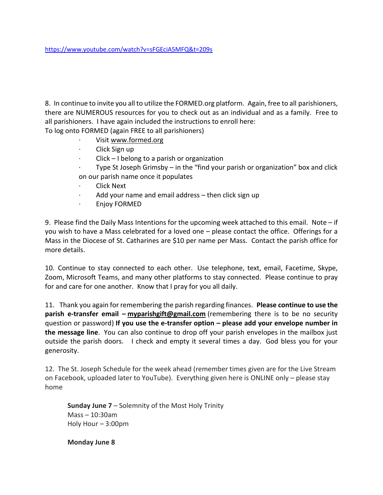<https://www.youtube.com/watch?v=sFGEciA5MFQ&t=209s>

8. In continue to invite you all to utilize the FORMED.org platform. Again, free to all parishioners, there are NUMEROUS resources for you to check out as an individual and as a family. Free to all parishioners. I have again included the instructions to enroll here:

To log onto FORMED (again FREE to all parishioners)

- · Visit [www.formed.org](http://www.formed.org/)
- · Click Sign up
- $\cdot$  Click I belong to a parish or organization
- · Type St Joseph Grimsby in the "find your parish or organization" box and click on our parish name once it populates
- · Click Next
- · Add your name and email address then click sign up
- · Enjoy FORMED

9. Please find the Daily Mass Intentions for the upcoming week attached to this email. Note – if you wish to have a Mass celebrated for a loved one – please contact the office. Offerings for a Mass in the Diocese of St. Catharines are \$10 per name per Mass. Contact the parish office for more details.

10. Continue to stay connected to each other. Use telephone, text, email, Facetime, Skype, Zoom, Microsoft Teams, and many other platforms to stay connected. Please continue to pray for and care for one another. Know that I pray for you all daily.

11. Thank you again for remembering the parish regarding finances. **Please continue to use the parish e-transfer email – [myparishgift@gmail.com](mailto:myparishgift@gmail.com)** (remembering there is to be no security question or password) **If you use the e-transfer option – please add your envelope number in the message line**. You can also continue to drop off your parish envelopes in the mailbox just outside the parish doors. I check and empty it several times a day. God bless you for your generosity.

12. The St. Joseph Schedule for the week ahead (remember times given are for the Live Stream on Facebook, uploaded later to YouTube). Everything given here is ONLINE only – please stay home

**Sunday June 7** – Solemnity of the Most Holy Trinity Mass – 10:30am Holy Hour – 3:00pm

**Monday June 8**